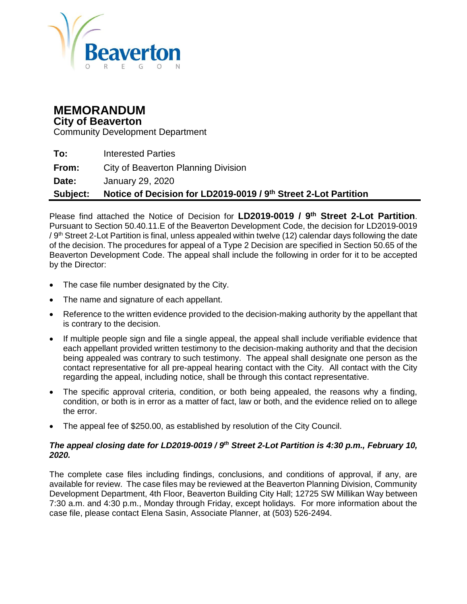

# **MEMORANDUM**

#### **City of Beaverton**

Community Development Department

| Subject:     | Notice of Decision for LD2019-0019 / 9th Street 2-Lot Partition |
|--------------|-----------------------------------------------------------------|
| <b>Date:</b> | January 29, 2020                                                |
| From:        | City of Beaverton Planning Division                             |
| To:          | <b>Interested Parties</b>                                       |

Please find attached the Notice of Decision for **LD2019-0019 / 9th Street 2-Lot Partition**. Pursuant to Section 50.40.11.E of the Beaverton Development Code, the decision for LD2019-0019 / 9<sup>th</sup> Street 2-Lot Partition is final, unless appealed within twelve (12) calendar days following the date of the decision. The procedures for appeal of a Type 2 Decision are specified in Section 50.65 of the Beaverton Development Code. The appeal shall include the following in order for it to be accepted by the Director:

- The case file number designated by the City.
- The name and signature of each appellant.
- Reference to the written evidence provided to the decision-making authority by the appellant that is contrary to the decision.
- If multiple people sign and file a single appeal, the appeal shall include verifiable evidence that each appellant provided written testimony to the decision-making authority and that the decision being appealed was contrary to such testimony. The appeal shall designate one person as the contact representative for all pre-appeal hearing contact with the City. All contact with the City regarding the appeal, including notice, shall be through this contact representative.
- The specific approval criteria, condition, or both being appealed, the reasons why a finding, condition, or both is in error as a matter of fact, law or both, and the evidence relied on to allege the error.
- The appeal fee of \$250.00, as established by resolution of the City Council.

#### *The appeal closing date for LD2019-0019 / 9<sup>th</sup> Street 2-Lot Partition is 4:30 p.m., February 10, 2020.*

The complete case files including findings, conclusions, and conditions of approval, if any, are available for review. The case files may be reviewed at the Beaverton Planning Division, Community Development Department, 4th Floor, Beaverton Building City Hall; 12725 SW Millikan Way between 7:30 a.m. and 4:30 p.m., Monday through Friday, except holidays. For more information about the case file, please contact Elena Sasin, Associate Planner, at (503) 526-2494.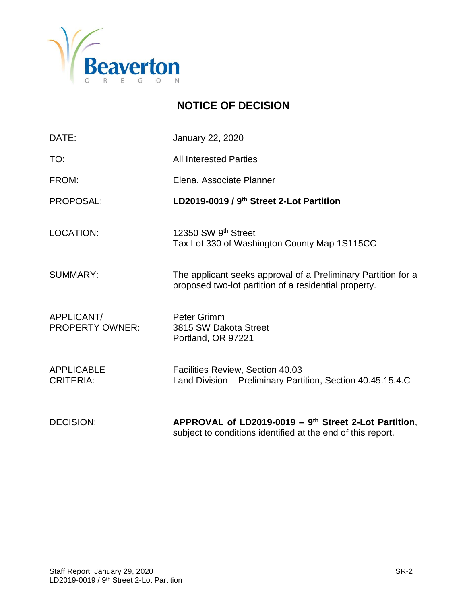

# **NOTICE OF DECISION**

| DATE:                                 | <b>January 22, 2020</b>                                                                                                |
|---------------------------------------|------------------------------------------------------------------------------------------------------------------------|
| TO:                                   | <b>All Interested Parties</b>                                                                                          |
| FROM:                                 | Elena, Associate Planner                                                                                               |
| PROPOSAL:                             | LD2019-0019 / 9 <sup>th</sup> Street 2-Lot Partition                                                                   |
| <b>LOCATION:</b>                      | 12350 SW 9th Street<br>Tax Lot 330 of Washington County Map 1S115CC                                                    |
| <b>SUMMARY:</b>                       | The applicant seeks approval of a Preliminary Partition for a<br>proposed two-lot partition of a residential property. |
| APPLICANT/<br><b>PROPERTY OWNER:</b>  | Peter Grimm<br>3815 SW Dakota Street<br>Portland, OR 97221                                                             |
| <b>APPLICABLE</b><br><b>CRITERIA:</b> | Facilities Review, Section 40.03<br>Land Division - Preliminary Partition, Section 40.45.15.4.C                        |
| <b>DECISION:</b>                      | APPROVAL of LD2019-0019 - $9th$ Street 2-Lot Partition,<br>subject to conditions identified at the end of this report. |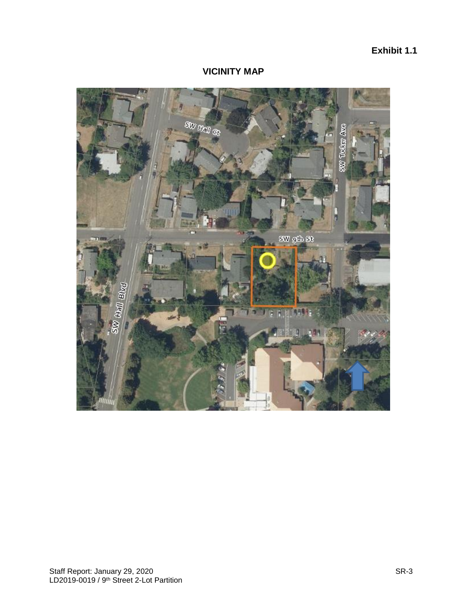# **Exhibit 1.1**

#### **VICINITY MAP**

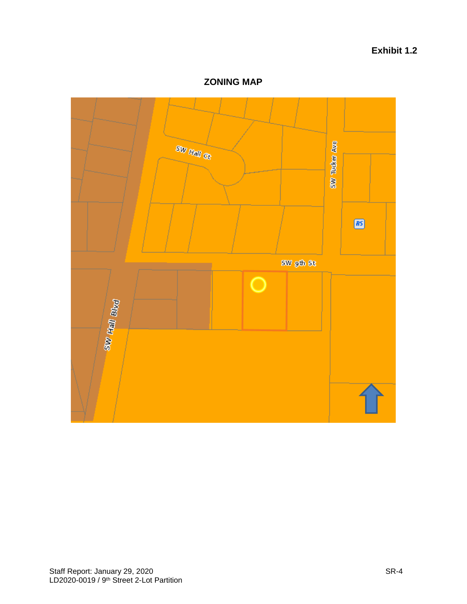# **Exhibit 1.2**

**ZONING MAP**

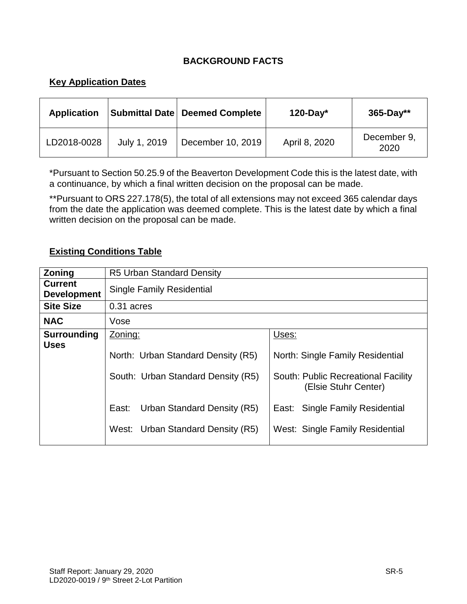# **BACKGROUND FACTS**

# **Key Application Dates**

| <b>Application</b> |              | Submittal Date   Deemed Complete | $120$ -Day*   | $365 - Day**$       |
|--------------------|--------------|----------------------------------|---------------|---------------------|
| LD2018-0028        | July 1, 2019 | December 10, 2019                | April 8, 2020 | December 9,<br>2020 |

\*Pursuant to Section 50.25.9 of the Beaverton Development Code this is the latest date, with a continuance, by which a final written decision on the proposal can be made.

\*\*Pursuant to ORS 227.178(5), the total of all extensions may not exceed 365 calendar days from the date the application was deemed complete. This is the latest date by which a final written decision on the proposal can be made.

#### **Existing Conditions Table**

| <b>Zoning</b>                        | <b>R5 Urban Standard Density</b>              |                                                             |  |
|--------------------------------------|-----------------------------------------------|-------------------------------------------------------------|--|
| <b>Current</b><br><b>Development</b> | <b>Single Family Residential</b>              |                                                             |  |
| <b>Site Size</b>                     | 0.31 acres                                    |                                                             |  |
| <b>NAC</b>                           | Vose                                          |                                                             |  |
| <b>Surrounding</b><br><b>Uses</b>    | Zoning:<br>North: Urban Standard Density (R5) | Uses:<br>North: Single Family Residential                   |  |
|                                      | South: Urban Standard Density (R5)            | South: Public Recreational Facility<br>(Elsie Stuhr Center) |  |
|                                      | East:<br>Urban Standard Density (R5)          | East: Single Family Residential                             |  |
|                                      | West: Urban Standard Density (R5)             | West: Single Family Residential                             |  |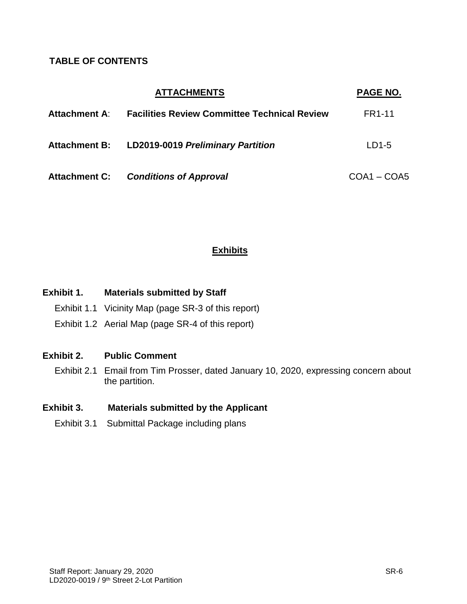# **TABLE OF CONTENTS**

|               | <b>ATTACHMENTS</b>                                  | PAGE NO.      |
|---------------|-----------------------------------------------------|---------------|
| Attachment A: | <b>Facilities Review Committee Technical Review</b> | <b>FR1-11</b> |
| Attachment B: | <b>LD2019-0019 Preliminary Partition</b>            | $LD1-5$       |
| Attachment C: | <b>Conditions of Approval</b>                       | $COA1 - COA5$ |

# **Exhibits**

| Exhibit 1. | <b>Materials submitted by Staff</b> |
|------------|-------------------------------------|
|------------|-------------------------------------|

- Exhibit 1.1 Vicinity Map (page SR-3 of this report)
- Exhibit 1.2 Aerial Map (page SR-4 of this report)

## **Exhibit 2. Public Comment**

Exhibit 2.1 Email from Tim Prosser, dated January 10, 2020, expressing concern about the partition.

## **Exhibit 3. Materials submitted by the Applicant**

Exhibit 3.1 Submittal Package including plans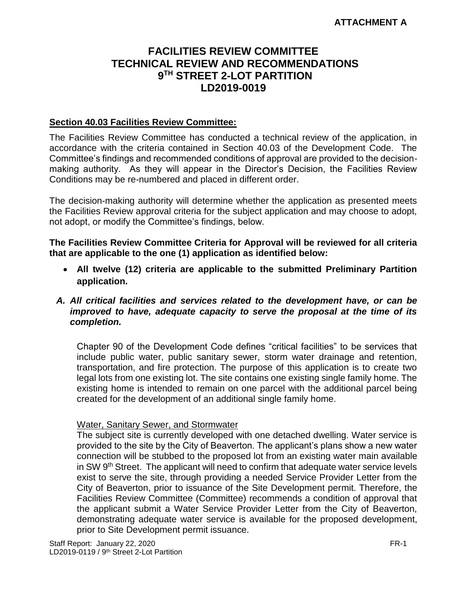# **FACILITIES REVIEW COMMITTEE TECHNICAL REVIEW AND RECOMMENDATIONS 9 TH STREET 2-LOT PARTITION LD2019-0019**

#### **Section 40.03 Facilities Review Committee:**

The Facilities Review Committee has conducted a technical review of the application, in accordance with the criteria contained in Section 40.03 of the Development Code. The Committee's findings and recommended conditions of approval are provided to the decisionmaking authority. As they will appear in the Director's Decision, the Facilities Review Conditions may be re-numbered and placed in different order.

The decision-making authority will determine whether the application as presented meets the Facilities Review approval criteria for the subject application and may choose to adopt, not adopt, or modify the Committee's findings, below.

**The Facilities Review Committee Criteria for Approval will be reviewed for all criteria that are applicable to the one (1) application as identified below:**

 **All twelve (12) criteria are applicable to the submitted Preliminary Partition application.** 

#### *A. All critical facilities and services related to the development have, or can be improved to have, adequate capacity to serve the proposal at the time of its completion.*

Chapter 90 of the Development Code defines "critical facilities" to be services that include public water, public sanitary sewer, storm water drainage and retention, transportation, and fire protection. The purpose of this application is to create two legal lots from one existing lot. The site contains one existing single family home. The existing home is intended to remain on one parcel with the additional parcel being created for the development of an additional single family home.

#### Water, Sanitary Sewer, and Stormwater

The subject site is currently developed with one detached dwelling. Water service is provided to the site by the City of Beaverton. The applicant's plans show a new water connection will be stubbed to the proposed lot from an existing water main available in SW 9th Street. The applicant will need to confirm that adequate water service levels exist to serve the site, through providing a needed Service Provider Letter from the City of Beaverton, prior to issuance of the Site Development permit. Therefore, the Facilities Review Committee (Committee) recommends a condition of approval that the applicant submit a Water Service Provider Letter from the City of Beaverton, demonstrating adequate water service is available for the proposed development, prior to Site Development permit issuance.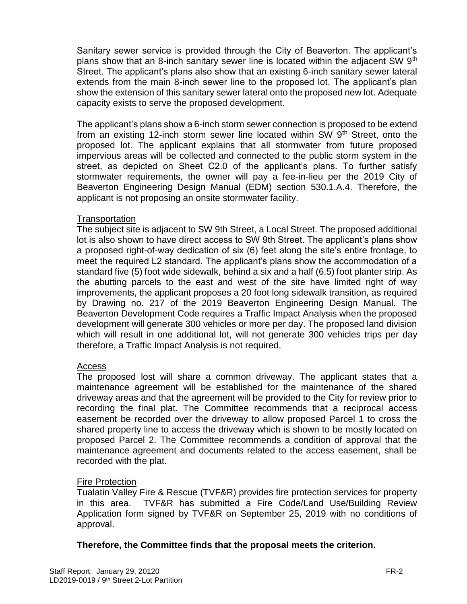Sanitary sewer service is provided through the City of Beaverton. The applicant's plans show that an 8-inch sanitary sewer line is located within the adjacent SW  $9<sup>th</sup>$ Street. The applicant's plans also show that an existing 6-inch sanitary sewer lateral extends from the main 8-inch sewer line to the proposed lot. The applicant's plan show the extension of this sanitary sewer lateral onto the proposed new lot. Adequate capacity exists to serve the proposed development.

The applicant's plans show a 6-inch storm sewer connection is proposed to be extend from an existing 12-inch storm sewer line located within SW 9<sup>th</sup> Street, onto the proposed lot. The applicant explains that all stormwater from future proposed impervious areas will be collected and connected to the public storm system in the street, as depicted on Sheet C2.0 of the applicant's plans. To further satisfy stormwater requirements, the owner will pay a fee-in-lieu per the 2019 City of Beaverton Engineering Design Manual (EDM) section 530.1.A.4. Therefore, the applicant is not proposing an onsite stormwater facility.

#### **Transportation**

The subject site is adjacent to SW 9th Street, a Local Street. The proposed additional lot is also shown to have direct access to SW 9th Street. The applicant's plans show a proposed right-of-way dedication of six (6) feet along the site's entire frontage, to meet the required L2 standard. The applicant's plans show the accommodation of a standard five (5) foot wide sidewalk, behind a six and a half (6.5) foot planter strip. As the abutting parcels to the east and west of the site have limited right of way improvements, the applicant proposes a 20 foot long sidewalk transition, as required by Drawing no. 217 of the 2019 Beaverton Engineering Design Manual. The Beaverton Development Code requires a Traffic Impact Analysis when the proposed development will generate 300 vehicles or more per day. The proposed land division which will result in one additional lot, will not generate 300 vehicles trips per day therefore, a Traffic Impact Analysis is not required.

#### Access

The proposed lost will share a common driveway. The applicant states that a maintenance agreement will be established for the maintenance of the shared driveway areas and that the agreement will be provided to the City for review prior to recording the final plat. The Committee recommends that a reciprocal access easement be recorded over the driveway to allow proposed Parcel 1 to cross the shared property line to access the driveway which is shown to be mostly located on proposed Parcel 2. The Committee recommends a condition of approval that the maintenance agreement and documents related to the access easement, shall be recorded with the plat.

#### Fire Protection

Tualatin Valley Fire & Rescue (TVF&R) provides fire protection services for property in this area. TVF&R has submitted a Fire Code/Land Use/Building Review Application form signed by TVF&R on September 25, 2019 with no conditions of approval.

#### **Therefore, the Committee finds that the proposal meets the criterion.**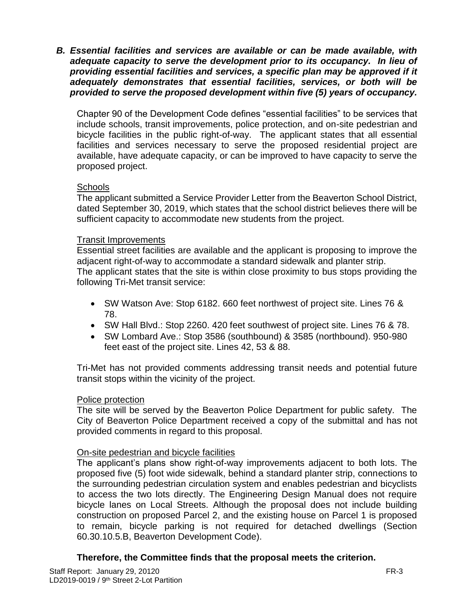*B. Essential facilities and services are available or can be made available, with adequate capacity to serve the development prior to its occupancy. In lieu of providing essential facilities and services, a specific plan may be approved if it adequately demonstrates that essential facilities, services, or both will be provided to serve the proposed development within five (5) years of occupancy.*

Chapter 90 of the Development Code defines "essential facilities" to be services that include schools, transit improvements, police protection, and on-site pedestrian and bicycle facilities in the public right-of-way. The applicant states that all essential facilities and services necessary to serve the proposed residential project are available, have adequate capacity, or can be improved to have capacity to serve the proposed project.

#### **Schools**

The applicant submitted a Service Provider Letter from the Beaverton School District, dated September 30, 2019, which states that the school district believes there will be sufficient capacity to accommodate new students from the project.

#### Transit Improvements

Essential street facilities are available and the applicant is proposing to improve the adjacent right-of-way to accommodate a standard sidewalk and planter strip. The applicant states that the site is within close proximity to bus stops providing the following Tri-Met transit service:

- SW Watson Ave: Stop 6182. 660 feet northwest of project site. Lines 76 & 78.
- SW Hall Blvd.: Stop 2260. 420 feet southwest of project site. Lines 76 & 78.
- SW Lombard Ave.: Stop 3586 (southbound) & 3585 (northbound). 950-980 feet east of the project site. Lines 42, 53 & 88.

Tri-Met has not provided comments addressing transit needs and potential future transit stops within the vicinity of the project.

#### Police protection

The site will be served by the Beaverton Police Department for public safety. The City of Beaverton Police Department received a copy of the submittal and has not provided comments in regard to this proposal.

#### On-site pedestrian and bicycle facilities

The applicant's plans show right-of-way improvements adjacent to both lots. The proposed five (5) foot wide sidewalk, behind a standard planter strip, connections to the surrounding pedestrian circulation system and enables pedestrian and bicyclists to access the two lots directly. The Engineering Design Manual does not require bicycle lanes on Local Streets. Although the proposal does not include building construction on proposed Parcel 2, and the existing house on Parcel 1 is proposed to remain, bicycle parking is not required for detached dwellings (Section 60.30.10.5.B, Beaverton Development Code).

#### **Therefore, the Committee finds that the proposal meets the criterion.**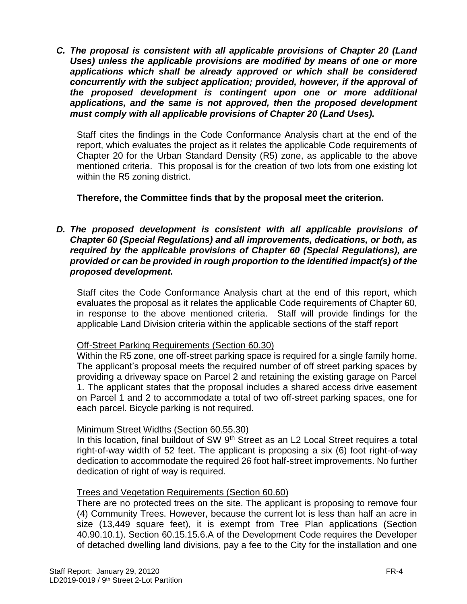*C. The proposal is consistent with all applicable provisions of Chapter 20 (Land Uses) unless the applicable provisions are modified by means of one or more applications which shall be already approved or which shall be considered concurrently with the subject application; provided, however, if the approval of the proposed development is contingent upon one or more additional applications, and the same is not approved, then the proposed development must comply with all applicable provisions of Chapter 20 (Land Uses).*

Staff cites the findings in the Code Conformance Analysis chart at the end of the report, which evaluates the project as it relates the applicable Code requirements of Chapter 20 for the Urban Standard Density (R5) zone, as applicable to the above mentioned criteria. This proposal is for the creation of two lots from one existing lot within the R5 zoning district.

#### **Therefore, the Committee finds that by the proposal meet the criterion.**

#### *D. The proposed development is consistent with all applicable provisions of Chapter 60 (Special Regulations) and all improvements, dedications, or both, as required by the applicable provisions of Chapter 60 (Special Regulations), are provided or can be provided in rough proportion to the identified impact(s) of the proposed development.*

Staff cites the Code Conformance Analysis chart at the end of this report, which evaluates the proposal as it relates the applicable Code requirements of Chapter 60, in response to the above mentioned criteria. Staff will provide findings for the applicable Land Division criteria within the applicable sections of the staff report

#### Off-Street Parking Requirements (Section 60.30)

Within the R5 zone, one off-street parking space is required for a single family home. The applicant's proposal meets the required number of off street parking spaces by providing a driveway space on Parcel 2 and retaining the existing garage on Parcel 1. The applicant states that the proposal includes a shared access drive easement on Parcel 1 and 2 to accommodate a total of two off-street parking spaces, one for each parcel. Bicycle parking is not required.

#### Minimum Street Widths (Section 60.55.30)

In this location, final buildout of SW 9<sup>th</sup> Street as an L2 Local Street requires a total right-of-way width of 52 feet. The applicant is proposing a six (6) foot right-of-way dedication to accommodate the required 26 foot half-street improvements. No further dedication of right of way is required.

#### Trees and Vegetation Requirements (Section 60.60)

There are no protected trees on the site. The applicant is proposing to remove four (4) Community Trees. However, because the current lot is less than half an acre in size (13,449 square feet), it is exempt from Tree Plan applications (Section 40.90.10.1). Section 60.15.15.6.A of the Development Code requires the Developer of detached dwelling land divisions, pay a fee to the City for the installation and one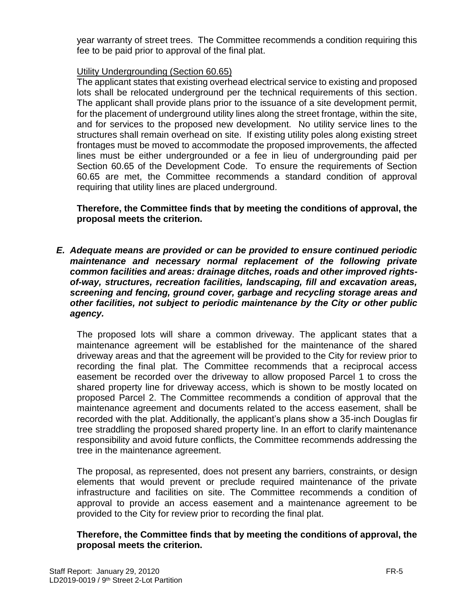year warranty of street trees. The Committee recommends a condition requiring this fee to be paid prior to approval of the final plat.

### Utility Undergrounding (Section 60.65)

The applicant states that existing overhead electrical service to existing and proposed lots shall be relocated underground per the technical requirements of this section. The applicant shall provide plans prior to the issuance of a site development permit, for the placement of underground utility lines along the street frontage, within the site, and for services to the proposed new development. No utility service lines to the structures shall remain overhead on site. If existing utility poles along existing street frontages must be moved to accommodate the proposed improvements, the affected lines must be either undergrounded or a fee in lieu of undergrounding paid per Section 60.65 of the Development Code. To ensure the requirements of Section 60.65 are met, the Committee recommends a standard condition of approval requiring that utility lines are placed underground.

#### **Therefore, the Committee finds that by meeting the conditions of approval, the proposal meets the criterion.**

*E. Adequate means are provided or can be provided to ensure continued periodic maintenance and necessary normal replacement of the following private common facilities and areas: drainage ditches, roads and other improved rightsof-way, structures, recreation facilities, landscaping, fill and excavation areas, screening and fencing, ground cover, garbage and recycling storage areas and other facilities, not subject to periodic maintenance by the City or other public agency.*

The proposed lots will share a common driveway. The applicant states that a maintenance agreement will be established for the maintenance of the shared driveway areas and that the agreement will be provided to the City for review prior to recording the final plat. The Committee recommends that a reciprocal access easement be recorded over the driveway to allow proposed Parcel 1 to cross the shared property line for driveway access, which is shown to be mostly located on proposed Parcel 2. The Committee recommends a condition of approval that the maintenance agreement and documents related to the access easement, shall be recorded with the plat. Additionally, the applicant's plans show a 35-inch Douglas fir tree straddling the proposed shared property line. In an effort to clarify maintenance responsibility and avoid future conflicts, the Committee recommends addressing the tree in the maintenance agreement.

The proposal, as represented, does not present any barriers, constraints, or design elements that would prevent or preclude required maintenance of the private infrastructure and facilities on site. The Committee recommends a condition of approval to provide an access easement and a maintenance agreement to be provided to the City for review prior to recording the final plat.

#### **Therefore, the Committee finds that by meeting the conditions of approval, the proposal meets the criterion.**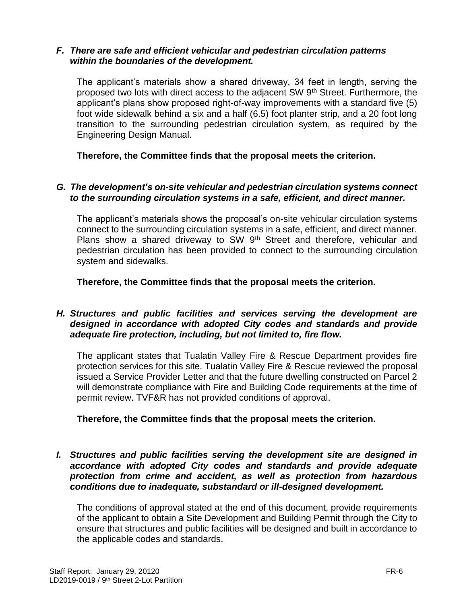#### *F. There are safe and efficient vehicular and pedestrian circulation patterns within the boundaries of the development.*

The applicant's materials show a shared driveway, 34 feet in length, serving the proposed two lots with direct access to the adjacent SW 9th Street. Furthermore, the applicant's plans show proposed right-of-way improvements with a standard five (5) foot wide sidewalk behind a six and a half (6.5) foot planter strip, and a 20 foot long transition to the surrounding pedestrian circulation system, as required by the Engineering Design Manual.

**Therefore, the Committee finds that the proposal meets the criterion.** 

#### *G. The development's on-site vehicular and pedestrian circulation systems connect to the surrounding circulation systems in a safe, efficient, and direct manner.*

The applicant's materials shows the proposal's on-site vehicular circulation systems connect to the surrounding circulation systems in a safe, efficient, and direct manner. Plans show a shared driveway to SW 9<sup>th</sup> Street and therefore, vehicular and pedestrian circulation has been provided to connect to the surrounding circulation system and sidewalks.

**Therefore, the Committee finds that the proposal meets the criterion.** 

#### *H. Structures and public facilities and services serving the development are designed in accordance with adopted City codes and standards and provide adequate fire protection, including, but not limited to, fire flow.*

The applicant states that Tualatin Valley Fire & Rescue Department provides fire protection services for this site. Tualatin Valley Fire & Rescue reviewed the proposal issued a Service Provider Letter and that the future dwelling constructed on Parcel 2 will demonstrate compliance with Fire and Building Code requirements at the time of permit review. TVF&R has not provided conditions of approval.

#### **Therefore, the Committee finds that the proposal meets the criterion.**

*I. Structures and public facilities serving the development site are designed in accordance with adopted City codes and standards and provide adequate protection from crime and accident, as well as protection from hazardous conditions due to inadequate, substandard or ill-designed development.*

The conditions of approval stated at the end of this document, provide requirements of the applicant to obtain a Site Development and Building Permit through the City to ensure that structures and public facilities will be designed and built in accordance to the applicable codes and standards.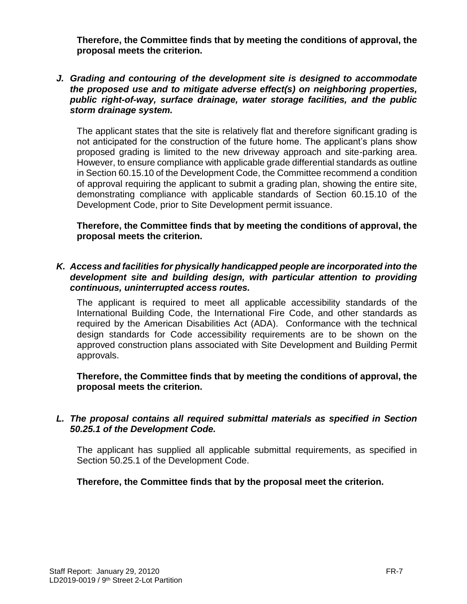**Therefore, the Committee finds that by meeting the conditions of approval, the proposal meets the criterion.** 

#### *J. Grading and contouring of the development site is designed to accommodate the proposed use and to mitigate adverse effect(s) on neighboring properties, public right-of-way, surface drainage, water storage facilities, and the public storm drainage system.*

The applicant states that the site is relatively flat and therefore significant grading is not anticipated for the construction of the future home. The applicant's plans show proposed grading is limited to the new driveway approach and site-parking area. However, to ensure compliance with applicable grade differential standards as outline in Section 60.15.10 of the Development Code, the Committee recommend a condition of approval requiring the applicant to submit a grading plan, showing the entire site, demonstrating compliance with applicable standards of Section 60.15.10 of the Development Code, prior to Site Development permit issuance.

**Therefore, the Committee finds that by meeting the conditions of approval, the proposal meets the criterion.** 

#### *K. Access and facilities for physically handicapped people are incorporated into the development site and building design, with particular attention to providing continuous, uninterrupted access routes.*

The applicant is required to meet all applicable accessibility standards of the International Building Code, the International Fire Code, and other standards as required by the American Disabilities Act (ADA). Conformance with the technical design standards for Code accessibility requirements are to be shown on the approved construction plans associated with Site Development and Building Permit approvals.

**Therefore, the Committee finds that by meeting the conditions of approval, the proposal meets the criterion.** 

#### *L. The proposal contains all required submittal materials as specified in Section 50.25.1 of the Development Code.*

The applicant has supplied all applicable submittal requirements, as specified in Section 50.25.1 of the Development Code.

#### **Therefore, the Committee finds that by the proposal meet the criterion.**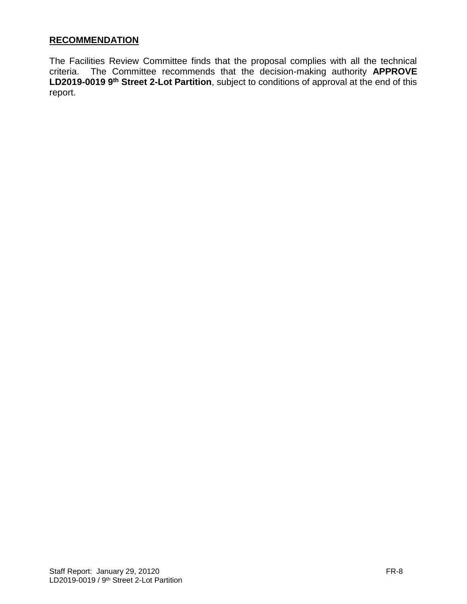## **RECOMMENDATION**

The Facilities Review Committee finds that the proposal complies with all the technical criteria. The Committee recommends that the decision-making authority **APPROVE LD2019-0019 9th Street 2-Lot Partition**, subject to conditions of approval at the end of this report.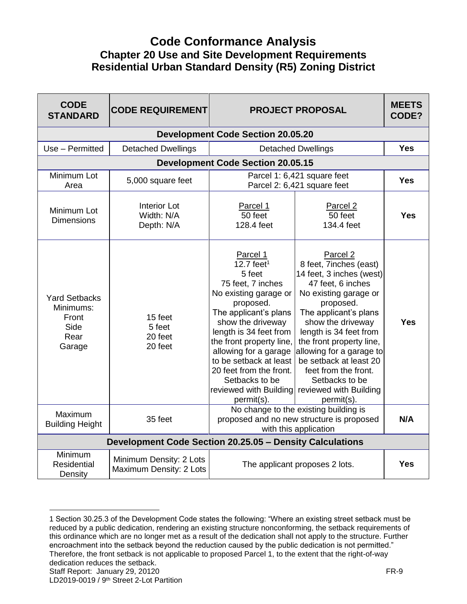# **Code Conformance Analysis Chapter 20 Use and Site Development Requirements Residential Urban Standard Density (R5) Zoning District**

| <b>CODE</b><br><b>STANDARD</b>                                       | <b>CODE REQUIREMENT</b>                                  | <b>PROJECT PROPOSAL</b>                                                                                                                                                                                                                                                                                                     |                                                                                                                                                                                                                                                                                                                                                                                              | <b>MEETS</b><br>CODE? |
|----------------------------------------------------------------------|----------------------------------------------------------|-----------------------------------------------------------------------------------------------------------------------------------------------------------------------------------------------------------------------------------------------------------------------------------------------------------------------------|----------------------------------------------------------------------------------------------------------------------------------------------------------------------------------------------------------------------------------------------------------------------------------------------------------------------------------------------------------------------------------------------|-----------------------|
|                                                                      |                                                          | <b>Development Code Section 20.05.20</b>                                                                                                                                                                                                                                                                                    |                                                                                                                                                                                                                                                                                                                                                                                              |                       |
| Use - Permitted                                                      | <b>Detached Dwellings</b>                                |                                                                                                                                                                                                                                                                                                                             | <b>Detached Dwellings</b>                                                                                                                                                                                                                                                                                                                                                                    | <b>Yes</b>            |
|                                                                      |                                                          | <b>Development Code Section 20.05.15</b>                                                                                                                                                                                                                                                                                    |                                                                                                                                                                                                                                                                                                                                                                                              |                       |
| Minimum Lot<br>Area                                                  | 5,000 square feet                                        |                                                                                                                                                                                                                                                                                                                             | Parcel 1: 6,421 square feet<br>Parcel 2: 6,421 square feet                                                                                                                                                                                                                                                                                                                                   | <b>Yes</b>            |
| Minimum Lot<br><b>Dimensions</b>                                     | <b>Interior Lot</b><br>Width: N/A<br>Depth: N/A          | Parcel 1<br>50 feet<br>128.4 feet                                                                                                                                                                                                                                                                                           | Parcel 2<br>50 feet<br>134.4 feet                                                                                                                                                                                                                                                                                                                                                            | Yes                   |
| <b>Yard Setbacks</b><br>Minimums:<br>Front<br>Side<br>Rear<br>Garage | 15 feet<br>5 feet<br>20 feet<br>20 feet                  | Parcel 1<br>$12.7$ feet <sup>1</sup><br>5 feet<br>75 feet, 7 inches<br>No existing garage or<br>proposed.<br>The applicant's plans<br>show the driveway<br>length is 34 feet from<br>the front property line,<br>allowing for a garage<br>to be setback at least<br>20 feet from the front.<br>Setbacks to be<br>permit(s). | Parcel 2<br>8 feet, 7inches (east)<br>14 feet, 3 inches (west)<br>47 feet, 6 inches<br>No existing garage or<br>proposed.<br>The applicant's plans<br>show the driveway<br>length is 34 feet from<br>the front property line,<br>allowing for a garage to<br>be setback at least 20<br>feet from the front.<br>Setbacks to be<br>reviewed with Building reviewed with Building<br>permit(s). | <b>Yes</b>            |
| Maximum<br><b>Building Height</b>                                    | 35 feet                                                  | No change to the existing building is<br>proposed and no new structure is proposed<br>with this application                                                                                                                                                                                                                 |                                                                                                                                                                                                                                                                                                                                                                                              | N/A                   |
|                                                                      | Development Code Section 20.25.05 - Density Calculations |                                                                                                                                                                                                                                                                                                                             |                                                                                                                                                                                                                                                                                                                                                                                              |                       |
| Minimum<br><b>Residential</b><br>Density                             | Minimum Density: 2 Lots<br>Maximum Density: 2 Lots       |                                                                                                                                                                                                                                                                                                                             | The applicant proposes 2 lots.                                                                                                                                                                                                                                                                                                                                                               | <b>Yes</b>            |

 $\overline{a}$ 

Staff Report: January 29, 20120 **FR-9** 1 Section 30.25.3 of the Development Code states the following: "Where an existing street setback must be reduced by a public dedication, rendering an existing structure nonconforming, the setback requirements of this ordinance which are no longer met as a result of the dedication shall not apply to the structure. Further encroachment into the setback beyond the reduction caused by the public dedication is not permitted." Therefore, the front setback is not applicable to proposed Parcel 1, to the extent that the right-of-way dedication reduces the setback.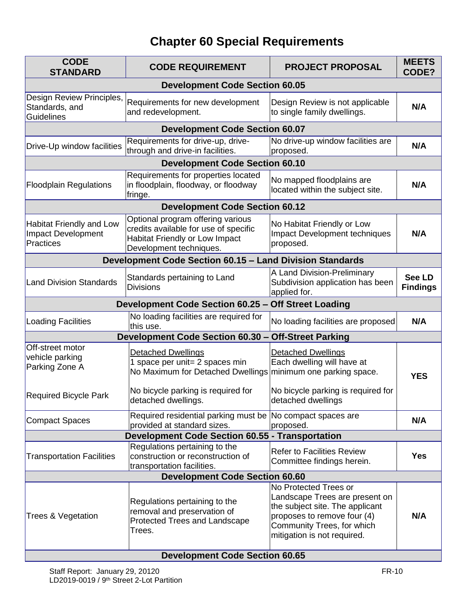# **Chapter 60 Special Requirements**

| <b>CODE</b><br><b>STANDARD</b>                                     | <b>CODE REQUIREMENT</b>                                                                                                                 | <b>PROJECT PROPOSAL</b>                                                                                                                                                                | <b>MEETS</b><br>CODE?            |
|--------------------------------------------------------------------|-----------------------------------------------------------------------------------------------------------------------------------------|----------------------------------------------------------------------------------------------------------------------------------------------------------------------------------------|----------------------------------|
|                                                                    | <b>Development Code Section 60.05</b>                                                                                                   |                                                                                                                                                                                        |                                  |
| Design Review Principles,<br>Standards, and<br><b>Guidelines</b>   | Requirements for new development<br>and redevelopment.                                                                                  | Design Review is not applicable<br>to single family dwellings.                                                                                                                         | N/A                              |
|                                                                    | <b>Development Code Section 60.07</b>                                                                                                   |                                                                                                                                                                                        |                                  |
| Drive-Up window facilities                                         | Requirements for drive-up, drive-<br>through and drive-in facilities.                                                                   | No drive-up window facilities are<br>proposed.                                                                                                                                         | N/A                              |
|                                                                    | <b>Development Code Section 60.10</b>                                                                                                   |                                                                                                                                                                                        |                                  |
| <b>Floodplain Regulations</b>                                      | Requirements for properties located<br>in floodplain, floodway, or floodway<br>fringe.                                                  | No mapped floodplains are<br>located within the subject site.                                                                                                                          | N/A                              |
|                                                                    | <b>Development Code Section 60.12</b>                                                                                                   |                                                                                                                                                                                        |                                  |
| <b>Habitat Friendly and Low</b><br>Impact Development<br>Practices | Optional program offering various<br>credits available for use of specific<br>Habitat Friendly or Low Impact<br>Development techniques. | No Habitat Friendly or Low<br>Impact Development techniques<br>proposed.                                                                                                               | N/A                              |
|                                                                    | <b>Development Code Section 60.15 - Land Division Standards</b>                                                                         |                                                                                                                                                                                        |                                  |
| <b>Land Division Standards</b>                                     | Standards pertaining to Land<br><b>Divisions</b>                                                                                        | A Land Division-Preliminary<br>Subdivision application has been<br>applied for.                                                                                                        | <b>See LD</b><br><b>Findings</b> |
|                                                                    | Development Code Section 60.25 - Off Street Loading                                                                                     |                                                                                                                                                                                        |                                  |
| <b>Loading Facilities</b>                                          | No loading facilities are required for<br>this use.                                                                                     | No loading facilities are proposed                                                                                                                                                     | N/A                              |
|                                                                    | Development Code Section 60.30 - Off-Street Parking                                                                                     |                                                                                                                                                                                        |                                  |
| Off-street motor<br>vehicle parking<br>Parking Zone A              | <b>Detached Dwellings</b><br>1 space per unit= 2 spaces min<br>No Maximum for Detached Dwellings minimum one parking space.             | <b>Detached Dwellings</b><br>Each dwelling will have at                                                                                                                                | <b>YES</b>                       |
| <b>Required Bicycle Park</b>                                       | No bicycle parking is required for<br>detached dwellings.                                                                               | No bicycle parking is required for<br>detached dwellings                                                                                                                               |                                  |
| <b>Compact Spaces</b>                                              | Required residential parking must be No compact spaces are<br>provided at standard sizes.                                               | proposed.                                                                                                                                                                              | N/A                              |
|                                                                    | <b>Development Code Section 60.55 - Transportation</b>                                                                                  |                                                                                                                                                                                        |                                  |
| <b>Transportation Facilities</b>                                   | Regulations pertaining to the<br>construction or reconstruction of<br>transportation facilities.                                        | <b>Refer to Facilities Review</b><br>Committee findings herein.                                                                                                                        | <b>Yes</b>                       |
|                                                                    | <b>Development Code Section 60.60</b>                                                                                                   |                                                                                                                                                                                        |                                  |
| Trees & Vegetation                                                 | Regulations pertaining to the<br>removal and preservation of<br>Protected Trees and Landscape<br>Trees.                                 | No Protected Trees or<br>Landscape Trees are present on<br>the subject site. The applicant<br>proposes to remove four (4)<br>Community Trees, for which<br>mitigation is not required. | N/A                              |
| <b>Development Code Section 60.65</b>                              |                                                                                                                                         |                                                                                                                                                                                        |                                  |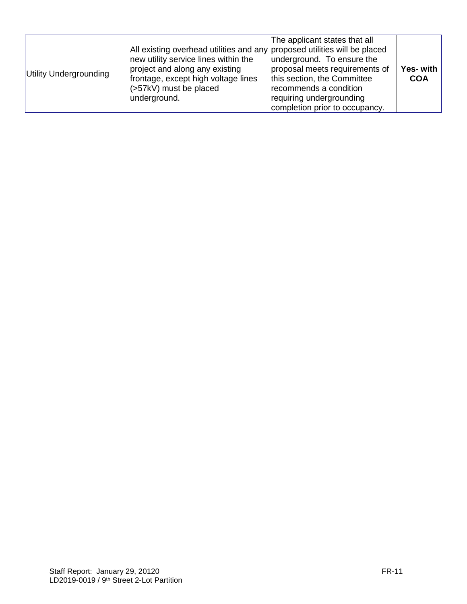| Utility Undergrounding | All existing overhead utilities and any proposed utilities will be placed<br>new utility service lines within the<br>project and along any existing<br>frontage, except high voltage lines<br>$ $ (>57kV) must be placed<br>underground. | The applicant states that all<br>underground. To ensure the<br>proposal meets requirements of<br>this section, the Committee<br>recommends a condition<br>requiring undergrounding<br>completion prior to occupancy. | Yes- with<br><b>COA</b> |
|------------------------|------------------------------------------------------------------------------------------------------------------------------------------------------------------------------------------------------------------------------------------|----------------------------------------------------------------------------------------------------------------------------------------------------------------------------------------------------------------------|-------------------------|
|------------------------|------------------------------------------------------------------------------------------------------------------------------------------------------------------------------------------------------------------------------------------|----------------------------------------------------------------------------------------------------------------------------------------------------------------------------------------------------------------------|-------------------------|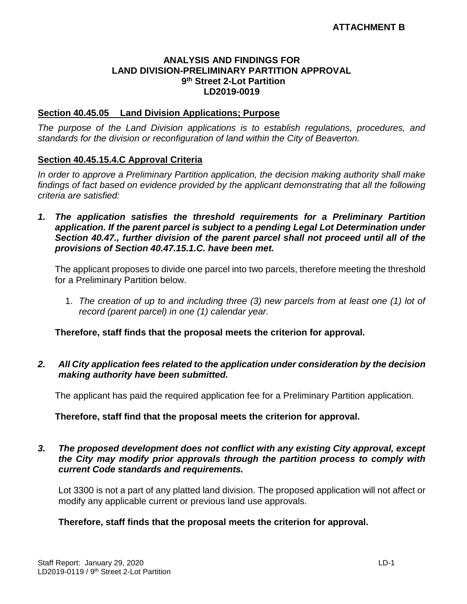#### **ANALYSIS AND FINDINGS FOR LAND DIVISION-PRELIMINARY PARTITION APPROVAL 9 th Street 2-Lot Partition LD2019-0019**

#### **Section 40.45.05 Land Division Applications; Purpose**

*The purpose of the Land Division applications is to establish regulations, procedures, and standards for the division or reconfiguration of land within the City of Beaverton.* 

#### **Section 40.45.15.4.C Approval Criteria**

*In order to approve a Preliminary Partition application, the decision making authority shall make findings of fact based on evidence provided by the applicant demonstrating that all the following criteria are satisfied:*

*1. The application satisfies the threshold requirements for a Preliminary Partition application. If the parent parcel is subject to a pending Legal Lot Determination under Section 40.47., further division of the parent parcel shall not proceed until all of the provisions of Section 40.47.15.1.C. have been met.*

The applicant proposes to divide one parcel into two parcels, therefore meeting the threshold for a Preliminary Partition below.

1. *The creation of up to and including three (3) new parcels from at least one (1) lot of record (parent parcel) in one (1) calendar year.*

**Therefore, staff finds that the proposal meets the criterion for approval.**

*2. All City application fees related to the application under consideration by the decision making authority have been submitted.*

The applicant has paid the required application fee for a Preliminary Partition application.

#### **Therefore, staff find that the proposal meets the criterion for approval.**

#### *3. The proposed development does not conflict with any existing City approval, except the City may modify prior approvals through the partition process to comply with current Code standards and requirements.*

Lot 3300 is not a part of any platted land division. The proposed application will not affect or modify any applicable current or previous land use approvals.

#### **Therefore, staff finds that the proposal meets the criterion for approval.**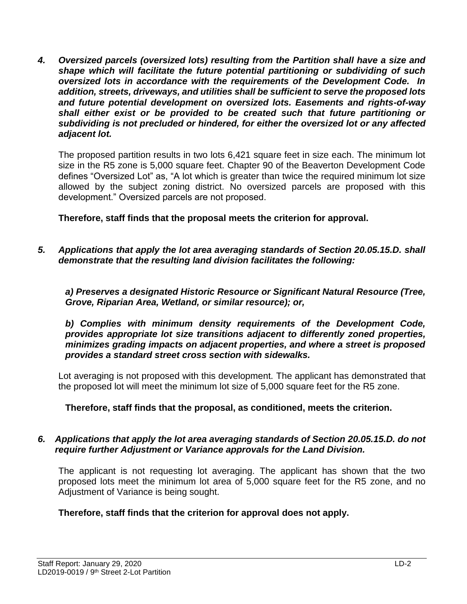*4. Oversized parcels (oversized lots) resulting from the Partition shall have a size and shape which will facilitate the future potential partitioning or subdividing of such oversized lots in accordance with the requirements of the Development Code. In addition, streets, driveways, and utilities shall be sufficient to serve the proposed lots and future potential development on oversized lots. Easements and rights-of-way shall either exist or be provided to be created such that future partitioning or subdividing is not precluded or hindered, for either the oversized lot or any affected adjacent lot.*

The proposed partition results in two lots 6,421 square feet in size each. The minimum lot size in the R5 zone is 5,000 square feet. Chapter 90 of the Beaverton Development Code defines "Oversized Lot" as, "A lot which is greater than twice the required minimum lot size allowed by the subject zoning district. No oversized parcels are proposed with this development." Oversized parcels are not proposed.

**Therefore, staff finds that the proposal meets the criterion for approval.**

*5. Applications that apply the lot area averaging standards of Section 20.05.15.D. shall demonstrate that the resulting land division facilitates the following:* 

*a) Preserves a designated Historic Resource or Significant Natural Resource (Tree, Grove, Riparian Area, Wetland, or similar resource); or,* 

*b) Complies with minimum density requirements of the Development Code, provides appropriate lot size transitions adjacent to differently zoned properties, minimizes grading impacts on adjacent properties, and where a street is proposed provides a standard street cross section with sidewalks.*

Lot averaging is not proposed with this development. The applicant has demonstrated that the proposed lot will meet the minimum lot size of 5,000 square feet for the R5 zone.

**Therefore, staff finds that the proposal, as conditioned, meets the criterion.**

#### *6. Applications that apply the lot area averaging standards of Section 20.05.15.D. do not require further Adjustment or Variance approvals for the Land Division.*

The applicant is not requesting lot averaging. The applicant has shown that the two proposed lots meet the minimum lot area of 5,000 square feet for the R5 zone, and no Adjustment of Variance is being sought.

## **Therefore, staff finds that the criterion for approval does not apply.**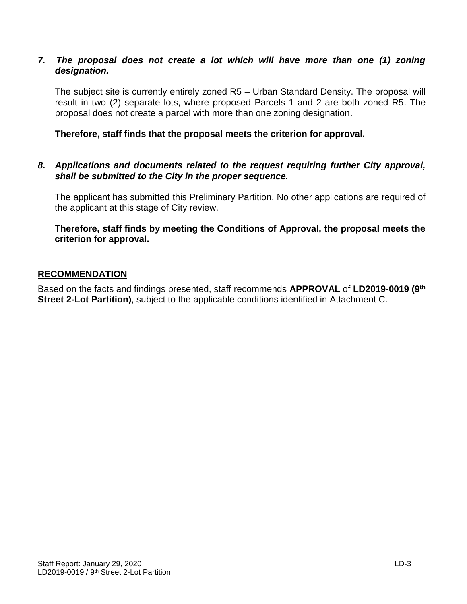#### *7.* The proposal does not create a lot which will have more than one (1) zoning *designation.*

The subject site is currently entirely zoned R5 – Urban Standard Density. The proposal will result in two (2) separate lots, where proposed Parcels 1 and 2 are both zoned R5. The proposal does not create a parcel with more than one zoning designation.

**Therefore, staff finds that the proposal meets the criterion for approval.**

#### *8. Applications and documents related to the request requiring further City approval, shall be submitted to the City in the proper sequence.*

The applicant has submitted this Preliminary Partition. No other applications are required of the applicant at this stage of City review.

**Therefore, staff finds by meeting the Conditions of Approval, the proposal meets the criterion for approval.**

#### **RECOMMENDATION**

Based on the facts and findings presented, staff recommends **APPROVAL** of **LD2019-0019 (9 th Street 2-Lot Partition)**, subject to the applicable conditions identified in Attachment C.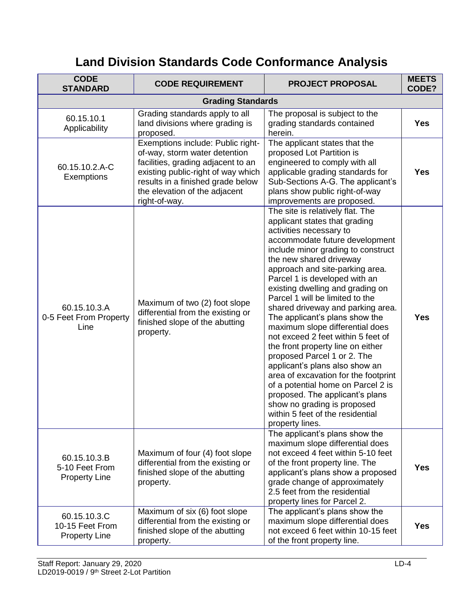# **Land Division Standards Code Conformance Analysis**

| <b>CODE</b><br><b>STANDARD</b>                          | <b>CODE REQUIREMENT</b>                                                                                                                                                                                                               | <b>PROJECT PROPOSAL</b>                                                                                                                                                                                                                                                                                                                                                                                                                                                                                                                                                                                                                                                                                                                                                                                 | <b>MEETS</b><br>CODE? |
|---------------------------------------------------------|---------------------------------------------------------------------------------------------------------------------------------------------------------------------------------------------------------------------------------------|---------------------------------------------------------------------------------------------------------------------------------------------------------------------------------------------------------------------------------------------------------------------------------------------------------------------------------------------------------------------------------------------------------------------------------------------------------------------------------------------------------------------------------------------------------------------------------------------------------------------------------------------------------------------------------------------------------------------------------------------------------------------------------------------------------|-----------------------|
|                                                         | <b>Grading Standards</b>                                                                                                                                                                                                              |                                                                                                                                                                                                                                                                                                                                                                                                                                                                                                                                                                                                                                                                                                                                                                                                         |                       |
| 60.15.10.1<br>Applicability                             | Grading standards apply to all<br>land divisions where grading is<br>proposed.                                                                                                                                                        | The proposal is subject to the<br>grading standards contained<br>herein.                                                                                                                                                                                                                                                                                                                                                                                                                                                                                                                                                                                                                                                                                                                                | Yes                   |
| 60.15.10.2.A-C<br>Exemptions                            | Exemptions include: Public right-<br>of-way, storm water detention<br>facilities, grading adjacent to an<br>existing public-right of way which<br>results in a finished grade below<br>the elevation of the adjacent<br>right-of-way. | The applicant states that the<br>proposed Lot Partition is<br>engineered to comply with all<br>applicable grading standards for<br>Sub-Sections A-G. The applicant's<br>plans show public right-of-way<br>improvements are proposed.                                                                                                                                                                                                                                                                                                                                                                                                                                                                                                                                                                    | <b>Yes</b>            |
| 60.15.10.3.A<br>0-5 Feet From Property<br>Line          | Maximum of two (2) foot slope<br>differential from the existing or<br>finished slope of the abutting<br>property.                                                                                                                     | The site is relatively flat. The<br>applicant states that grading<br>activities necessary to<br>accommodate future development<br>include minor grading to construct<br>the new shared driveway<br>approach and site-parking area.<br>Parcel 1 is developed with an<br>existing dwelling and grading on<br>Parcel 1 will be limited to the<br>shared driveway and parking area.<br>The applicant's plans show the<br>maximum slope differential does<br>not exceed 2 feet within 5 feet of<br>the front property line on either<br>proposed Parcel 1 or 2. The<br>applicant's plans also show an<br>area of excavation for the footprint<br>of a potential home on Parcel 2 is<br>proposed. The applicant's plans<br>show no grading is proposed<br>within 5 feet of the residential<br>property lines. | <b>Yes</b>            |
| 60.15.10.3.B<br>5-10 Feet From<br><b>Property Line</b>  | Maximum of four (4) foot slope<br>differential from the existing or<br>finished slope of the abutting<br>property.                                                                                                                    | The applicant's plans show the<br>maximum slope differential does<br>not exceed 4 feet within 5-10 feet<br>of the front property line. The<br>applicant's plans show a proposed<br>grade change of approximately<br>2.5 feet from the residential<br>property lines for Parcel 2.                                                                                                                                                                                                                                                                                                                                                                                                                                                                                                                       | <b>Yes</b>            |
| 60.15.10.3.C<br>10-15 Feet From<br><b>Property Line</b> | Maximum of six (6) foot slope<br>differential from the existing or<br>finished slope of the abutting<br>property.                                                                                                                     | The applicant's plans show the<br>maximum slope differential does<br>not exceed 6 feet within 10-15 feet<br>of the front property line.                                                                                                                                                                                                                                                                                                                                                                                                                                                                                                                                                                                                                                                                 | <b>Yes</b>            |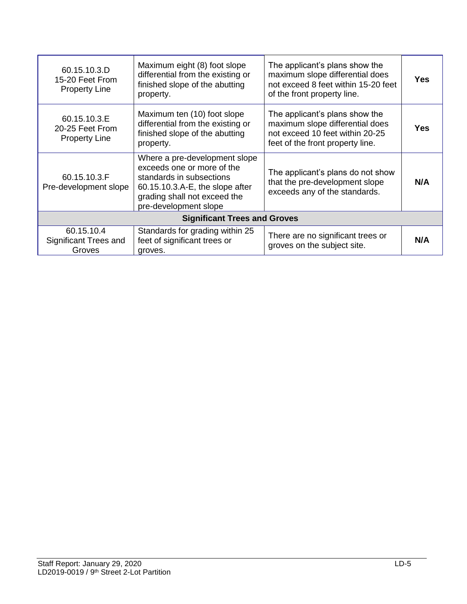| 60.15.10.3.D<br>15-20 Feet From<br><b>Property Line</b> | Maximum eight (8) foot slope<br>differential from the existing or<br>finished slope of the abutting<br>property.                                                                    | The applicant's plans show the<br>maximum slope differential does<br>not exceed 8 feet within 15-20 feet<br>of the front property line.  | <b>Yes</b> |  |
|---------------------------------------------------------|-------------------------------------------------------------------------------------------------------------------------------------------------------------------------------------|------------------------------------------------------------------------------------------------------------------------------------------|------------|--|
| 60.15.10.3.E<br>20-25 Feet From<br><b>Property Line</b> | Maximum ten (10) foot slope<br>differential from the existing or<br>finished slope of the abutting<br>property.                                                                     | The applicant's plans show the<br>maximum slope differential does<br>not exceed 10 feet within 20-25<br>feet of the front property line. | Yes        |  |
| 60.15.10.3.F<br>Pre-development slope                   | Where a pre-development slope<br>exceeds one or more of the<br>standards in subsections<br>60.15.10.3.A-E, the slope after<br>grading shall not exceed the<br>pre-development slope | The applicant's plans do not show<br>that the pre-development slope<br>exceeds any of the standards.                                     | N/A        |  |
| <b>Significant Trees and Groves</b>                     |                                                                                                                                                                                     |                                                                                                                                          |            |  |
| 60.15.10.4<br><b>Significant Trees and</b><br>Groves    | Standards for grading within 25<br>feet of significant trees or<br>groves.                                                                                                          | There are no significant trees or<br>groves on the subject site.                                                                         | N/A        |  |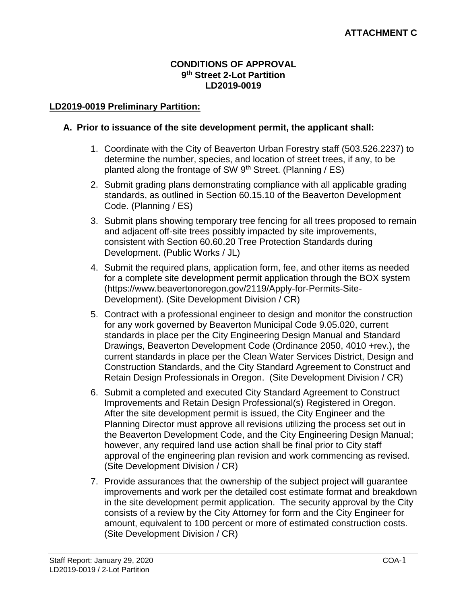#### **CONDITIONS OF APPROVAL 9 th Street 2-Lot Partition LD2019-0019**

### **LD2019-0019 Preliminary Partition:**

#### **A. Prior to issuance of the site development permit, the applicant shall:**

- 1. Coordinate with the City of Beaverton Urban Forestry staff (503.526.2237) to determine the number, species, and location of street trees, if any, to be planted along the frontage of SW 9<sup>th</sup> Street. (Planning / ES)
- 2. Submit grading plans demonstrating compliance with all applicable grading standards, as outlined in Section 60.15.10 of the Beaverton Development Code. (Planning / ES)
- 3. Submit plans showing temporary tree fencing for all trees proposed to remain and adjacent off-site trees possibly impacted by site improvements, consistent with Section 60.60.20 Tree Protection Standards during Development. (Public Works / JL)
- 4. Submit the required plans, application form, fee, and other items as needed for a complete site development permit application through the BOX system [\(https://www.beavertonoregon.gov/2119/Apply-for-Permits-Site-](https://www.beavertonoregon.gov/2119/Apply-for-Permits-Site-Development)[Development\)](https://www.beavertonoregon.gov/2119/Apply-for-Permits-Site-Development). (Site Development Division / CR)
- 5. Contract with a professional engineer to design and monitor the construction for any work governed by Beaverton Municipal Code 9.05.020, current standards in place per the City Engineering Design Manual and Standard Drawings, Beaverton Development Code (Ordinance 2050, 4010 +rev.), the current standards in place per the Clean Water Services District, Design and Construction Standards, and the City Standard Agreement to Construct and Retain Design Professionals in Oregon. (Site Development Division / CR)
- 6. Submit a completed and executed City Standard Agreement to Construct Improvements and Retain Design Professional(s) Registered in Oregon. After the site development permit is issued, the City Engineer and the Planning Director must approve all revisions utilizing the process set out in the Beaverton Development Code, and the City Engineering Design Manual; however, any required land use action shall be final prior to City staff approval of the engineering plan revision and work commencing as revised. (Site Development Division / CR)
- 7. Provide assurances that the ownership of the subject project will guarantee improvements and work per the detailed cost estimate format and breakdown in the site development permit application. The security approval by the City consists of a review by the City Attorney for form and the City Engineer for amount, equivalent to 100 percent or more of estimated construction costs. (Site Development Division / CR)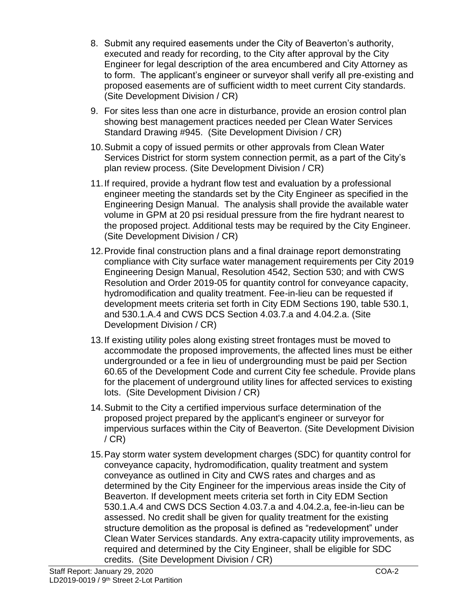- 8. Submit any required easements under the City of Beaverton's authority, executed and ready for recording, to the City after approval by the City Engineer for legal description of the area encumbered and City Attorney as to form. The applicant's engineer or surveyor shall verify all pre-existing and proposed easements are of sufficient width to meet current City standards. (Site Development Division / CR)
- 9. For sites less than one acre in disturbance, provide an erosion control plan showing best management practices needed per Clean Water Services Standard Drawing #945. (Site Development Division / CR)
- 10.Submit a copy of issued permits or other approvals from Clean Water Services District for storm system connection permit, as a part of the City's plan review process. (Site Development Division / CR)
- 11.If required, provide a hydrant flow test and evaluation by a professional engineer meeting the standards set by the City Engineer as specified in the Engineering Design Manual. The analysis shall provide the available water volume in GPM at 20 psi residual pressure from the fire hydrant nearest to the proposed project. Additional tests may be required by the City Engineer. (Site Development Division / CR)
- 12.Provide final construction plans and a final drainage report demonstrating compliance with City surface water management requirements per City 2019 Engineering Design Manual, Resolution 4542, Section 530; and with CWS Resolution and Order 2019-05 for quantity control for conveyance capacity, hydromodification and quality treatment. Fee-in-lieu can be requested if development meets criteria set forth in City EDM Sections 190, table 530.1, and 530.1.A.4 and CWS DCS Section 4.03.7.a and 4.04.2.a. (Site Development Division / CR)
- 13.If existing utility poles along existing street frontages must be moved to accommodate the proposed improvements, the affected lines must be either undergrounded or a fee in lieu of undergrounding must be paid per Section 60.65 of the Development Code and current City fee schedule. Provide plans for the placement of underground utility lines for affected services to existing lots. (Site Development Division / CR)
- 14.Submit to the City a certified impervious surface determination of the proposed project prepared by the applicant's engineer or surveyor for impervious surfaces within the City of Beaverton. (Site Development Division  $/$  CR)
- 15.Pay storm water system development charges (SDC) for quantity control for conveyance capacity, hydromodification, quality treatment and system conveyance as outlined in City and CWS rates and charges and as determined by the City Engineer for the impervious areas inside the City of Beaverton. If development meets criteria set forth in City EDM Section 530.1.A.4 and CWS DCS Section 4.03.7.a and 4.04.2.a, fee-in-lieu can be assessed. No credit shall be given for quality treatment for the existing structure demolition as the proposal is defined as "redevelopment" under Clean Water Services standards. Any extra-capacity utility improvements, as required and determined by the City Engineer, shall be eligible for SDC credits. (Site Development Division / CR)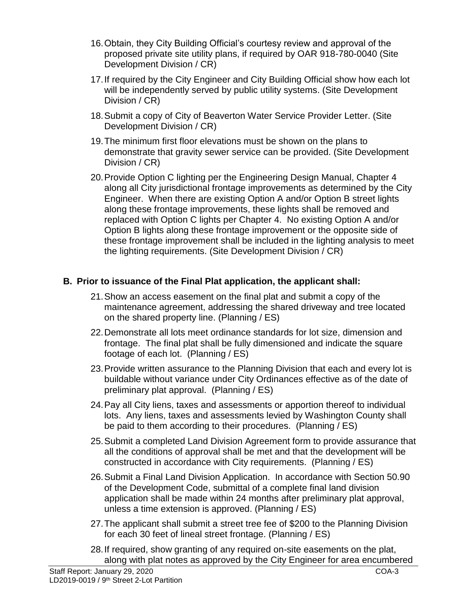- 16.Obtain, they City Building Official's courtesy review and approval of the proposed private site utility plans, if required by OAR 918-780-0040 (Site Development Division / CR)
- 17.If required by the City Engineer and City Building Official show how each lot will be independently served by public utility systems. (Site Development Division / CR)
- 18.Submit a copy of City of Beaverton Water Service Provider Letter. (Site Development Division / CR)
- 19.The minimum first floor elevations must be shown on the plans to demonstrate that gravity sewer service can be provided. (Site Development Division / CR)
- 20.Provide Option C lighting per the Engineering Design Manual, Chapter 4 along all City jurisdictional frontage improvements as determined by the City Engineer. When there are existing Option A and/or Option B street lights along these frontage improvements, these lights shall be removed and replaced with Option C lights per Chapter 4. No existing Option A and/or Option B lights along these frontage improvement or the opposite side of these frontage improvement shall be included in the lighting analysis to meet the lighting requirements. (Site Development Division / CR)

# **B. Prior to issuance of the Final Plat application, the applicant shall:**

- 21.Show an access easement on the final plat and submit a copy of the maintenance agreement, addressing the shared driveway and tree located on the shared property line. (Planning / ES)
- 22.Demonstrate all lots meet ordinance standards for lot size, dimension and frontage. The final plat shall be fully dimensioned and indicate the square footage of each lot. (Planning / ES)
- 23.Provide written assurance to the Planning Division that each and every lot is buildable without variance under City Ordinances effective as of the date of preliminary plat approval. (Planning / ES)
- 24.Pay all City liens, taxes and assessments or apportion thereof to individual lots. Any liens, taxes and assessments levied by Washington County shall be paid to them according to their procedures. (Planning / ES)
- 25.Submit a completed Land Division Agreement form to provide assurance that all the conditions of approval shall be met and that the development will be constructed in accordance with City requirements. (Planning / ES)
- 26.Submit a Final Land Division Application. In accordance with Section 50.90 of the Development Code, submittal of a complete final land division application shall be made within 24 months after preliminary plat approval, unless a time extension is approved. (Planning / ES)
- 27.The applicant shall submit a street tree fee of \$200 to the Planning Division for each 30 feet of lineal street frontage. (Planning / ES)
- 28.If required, show granting of any required on-site easements on the plat, along with plat notes as approved by the City Engineer for area encumbered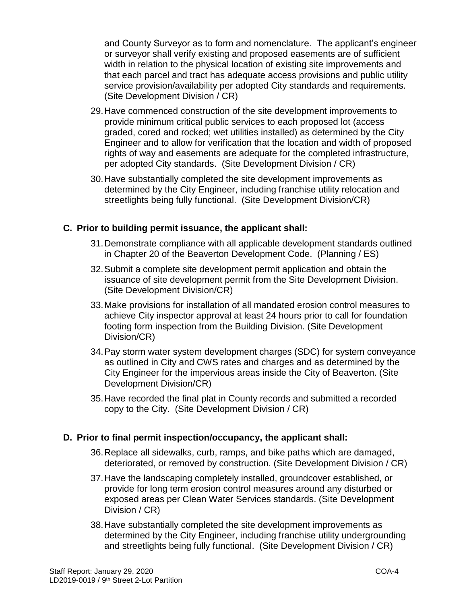and County Surveyor as to form and nomenclature. The applicant's engineer or surveyor shall verify existing and proposed easements are of sufficient width in relation to the physical location of existing site improvements and that each parcel and tract has adequate access provisions and public utility service provision/availability per adopted City standards and requirements. (Site Development Division / CR)

- 29.Have commenced construction of the site development improvements to provide minimum critical public services to each proposed lot (access graded, cored and rocked; wet utilities installed) as determined by the City Engineer and to allow for verification that the location and width of proposed rights of way and easements are adequate for the completed infrastructure, per adopted City standards. (Site Development Division / CR)
- 30.Have substantially completed the site development improvements as determined by the City Engineer, including franchise utility relocation and streetlights being fully functional. (Site Development Division/CR)

# **C. Prior to building permit issuance, the applicant shall:**

- 31.Demonstrate compliance with all applicable development standards outlined in Chapter 20 of the Beaverton Development Code. (Planning / ES)
- 32.Submit a complete site development permit application and obtain the issuance of site development permit from the Site Development Division. (Site Development Division/CR)
- 33.Make provisions for installation of all mandated erosion control measures to achieve City inspector approval at least 24 hours prior to call for foundation footing form inspection from the Building Division. (Site Development Division/CR)
- 34.Pay storm water system development charges (SDC) for system conveyance as outlined in City and CWS rates and charges and as determined by the City Engineer for the impervious areas inside the City of Beaverton. (Site Development Division/CR)
- 35.Have recorded the final plat in County records and submitted a recorded copy to the City. (Site Development Division / CR)

## **D. Prior to final permit inspection/occupancy, the applicant shall:**

- 36.Replace all sidewalks, curb, ramps, and bike paths which are damaged, deteriorated, or removed by construction. (Site Development Division / CR)
- 37.Have the landscaping completely installed, groundcover established, or provide for long term erosion control measures around any disturbed or exposed areas per Clean Water Services standards. (Site Development Division / CR)
- 38.Have substantially completed the site development improvements as determined by the City Engineer, including franchise utility undergrounding and streetlights being fully functional. (Site Development Division / CR)